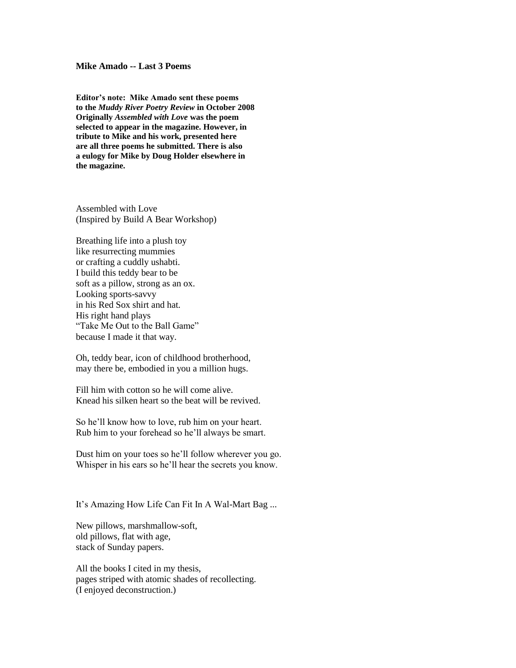## **Mike Amado -- Last 3 Poems**

**Editor's note: Mike Amado sent these poems to the** *Muddy River Poetry Review* **in October 2008 Originally** *Assembled with Love* **was the poem selected to appear in the magazine. However, in tribute to Mike and his work, presented here are all three poems he submitted. There is also a eulogy for Mike by Doug Holder elsewhere in the magazine.**

Assembled with Love (Inspired by Build A Bear Workshop)

Breathing life into a plush toy like resurrecting mummies or crafting a cuddly ushabti. I build this teddy bear to be soft as a pillow, strong as an ox. Looking sports-savvy in his Red Sox shirt and hat. His right hand plays "Take Me Out to the Ball Game" because I made it that way.

Oh, teddy bear, icon of childhood brotherhood, may there be, embodied in you a million hugs.

Fill him with cotton so he will come alive. Knead his silken heart so the beat will be revived.

So he"ll know how to love, rub him on your heart. Rub him to your forehead so he"ll always be smart.

Dust him on your toes so he"ll follow wherever you go. Whisper in his ears so he'll hear the secrets you know.

It's Amazing How Life Can Fit In A Wal-Mart Bag ...

New pillows, marshmallow-soft, old pillows, flat with age, stack of Sunday papers.

All the books I cited in my thesis, pages striped with atomic shades of recollecting. (I enjoyed deconstruction.)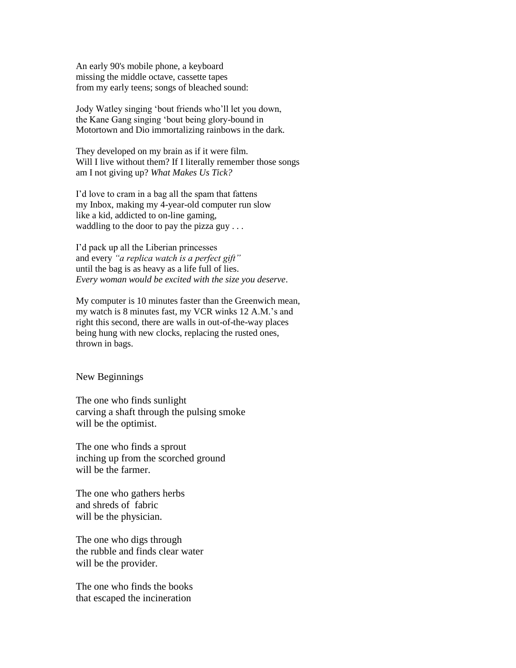An early 90's mobile phone, a keyboard missing the middle octave, cassette tapes from my early teens; songs of bleached sound:

Jody Watley singing "bout friends who"ll let you down, the Kane Gang singing "bout being glory-bound in Motortown and Dio immortalizing rainbows in the dark.

They developed on my brain as if it were film. Will I live without them? If I literally remember those songs am I not giving up? *What Makes Us Tick?*

I"d love to cram in a bag all the spam that fattens my Inbox, making my 4-year-old computer run slow like a kid, addicted to on-line gaming, waddling to the door to pay the pizza guy . . .

I"d pack up all the Liberian princesses and every *"a replica watch is a perfect gift"* until the bag is as heavy as a life full of lies. *Every woman would be excited with the size you deserve*.

My computer is 10 minutes faster than the Greenwich mean, my watch is 8 minutes fast, my VCR winks 12 A.M."s and right this second, there are walls in out-of-the-way places being hung with new clocks, replacing the rusted ones, thrown in bags.

New Beginnings

The one who finds sunlight carving a shaft through the pulsing smoke will be the optimist.

The one who finds a sprout inching up from the scorched ground will be the farmer.

The one who gathers herbs and shreds of fabric will be the physician.

The one who digs through the rubble and finds clear water will be the provider.

The one who finds the books that escaped the incineration